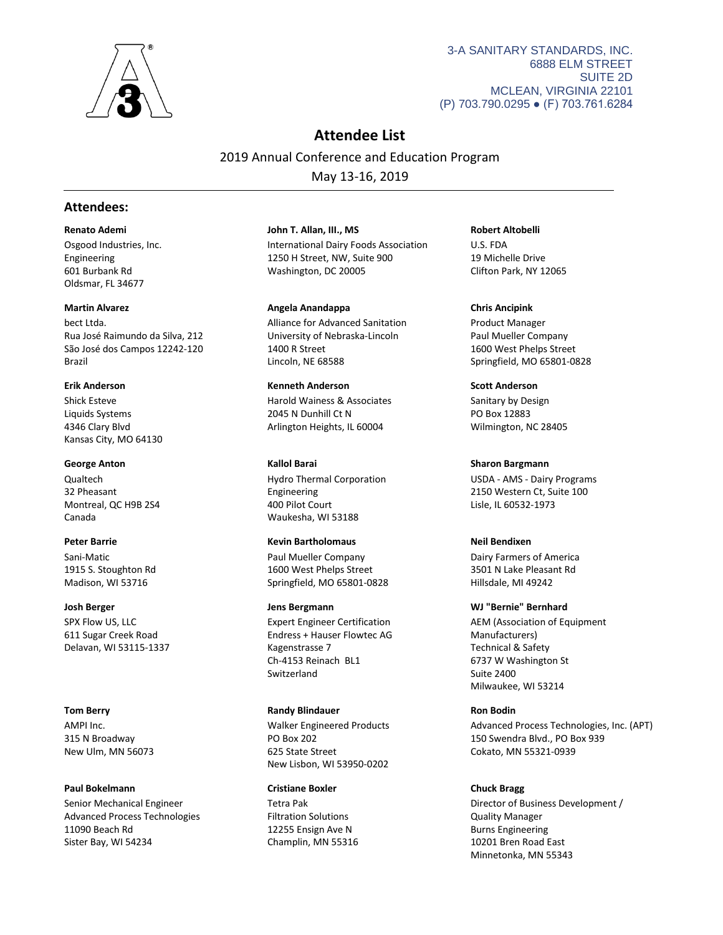

3-A SANITARY STANDARDS, INC. 6888 ELM STREET SUITE 2D MCLEAN, VIRGINIA 22101 (P) 703.790.0295 ● (F) 703.761.6284

# **Attendee List**

2019 Annual Conference and Education Program May 13-16, 2019

# **Attendees:**

## **Renato Ademi**

Osgood Industries, Inc. Engineering 601 Burbank Rd Oldsmar, FL 34677

# **Martin Alvarez**

bect Ltda. Rua José Raimundo da Silva, 212 São José dos Campos 12242-120 Brazil

# **Erik Anderson**

Shick Esteve Liquids Systems 4346 Clary Blvd Kansas City, MO 64130

# **George Anton**

Qualtech 32 Pheasant Montreal, QC H9B 2S4 Canada

# **Peter Barrie**

Sani-Matic 1915 S. Stoughton Rd Madison, WI 53716

# **Josh Berger**

SPX Flow US, LLC 611 Sugar Creek Road Delavan, WI 53115-1337

# **Tom Berry**

AMPI Inc. 315 N Broadway New Ulm, MN 56073

# **Paul Bokelmann**

Senior Mechanical Engineer Advanced Process Technologies 11090 Beach Rd Sister Bay, WI 54234

# International Dairy Foods Association 1250 H Street, NW, Suite 900 Washington, DC 20005 **John T. Allan, III., MS**

Alliance for Advanced Sanitation University of Nebraska-Lincoln 1400 R Street Lincoln, NE 68588 **Angela Anandappa**

### Harold Wainess & Associates **Kenneth Anderson**

2045 N Dunhill Ct N Arlington Heights, IL 60004

# **Kallol Barai**

Hydro Thermal Corporation Engineering 400 Pilot Court Waukesha, WI 53188

# **Kevin Bartholomaus**

Paul Mueller Company 1600 West Phelps Street Springfield, MO 65801-0828

# **Jens Bergmann**

Expert Engineer Certification Endress + Hauser Flowtec AG Kagenstrasse 7 Ch-4153 Reinach BL1 Switzerland

# **Randy Blindauer**

Walker Engineered Products PO Box 202 625 State Street New Lisbon, WI 53950-0202

# **Cristiane Boxler**

Tetra Pak Filtration Solutions 12255 Ensign Ave N Champlin, MN 55316 **Robert Altobelli**

U.S. FDA 19 Michelle Drive Clifton Park, NY 12065

# **Chris Ancipink**

Product Manager Paul Mueller Company 1600 West Phelps Street Springfield, MO 65801-0828

# **Scott Anderson**

Sanitary by Design PO Box 12883 Wilmington, NC 28405

# **Sharon Bargmann**

USDA - AMS - Dairy Programs 2150 Western Ct, Suite 100 Lisle, IL 60532-1973

# **Neil Bendixen**

Dairy Farmers of America 3501 N Lake Pleasant Rd Hillsdale, MI 49242

# **WJ "Bernie" Bernhard**

AEM (Association of Equipment Manufacturers) Technical & Safety 6737 W Washington St Suite 2400 Milwaukee, WI 53214

# **Ron Bodin**

Advanced Process Technologies, Inc. (APT) 150 Swendra Blvd., PO Box 939 Cokato, MN 55321-0939

# **Chuck Bragg**

Director of Business Development / Quality Manager Burns Engineering 10201 Bren Road East Minnetonka, MN 55343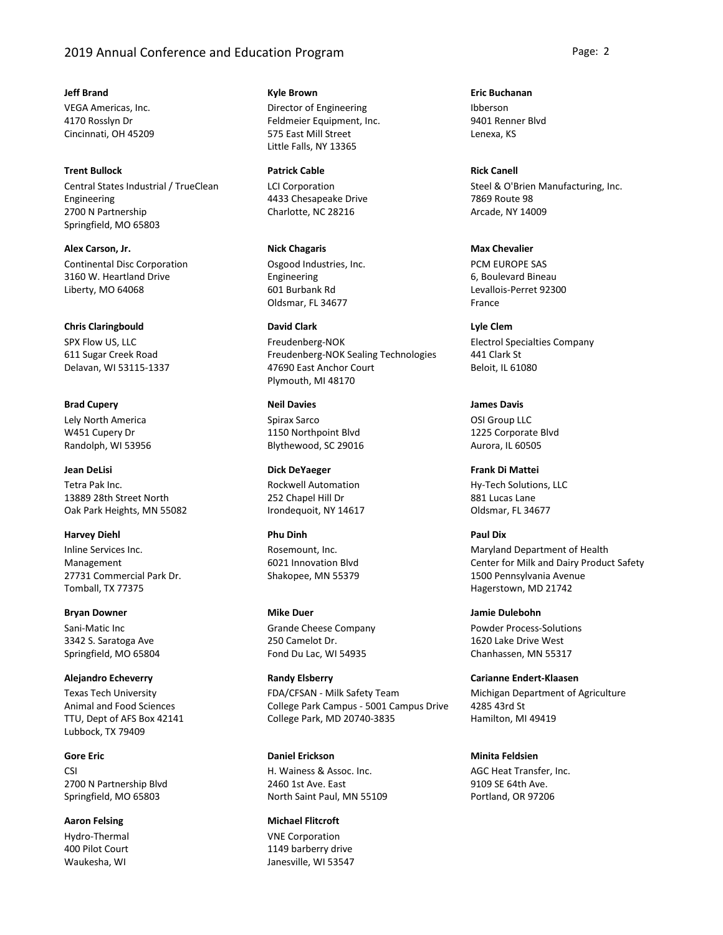# 2019 Annual Conference and Education Program **Page: 2** Page: 2

### **Jeff Brand**

VEGA Americas, Inc. 4170 Rosslyn Dr Cincinnati, OH 45209

### **Trent Bullock**

Central States Industrial / TrueClean Engineering 2700 N Partnership Springfield, MO 65803

Continental Disc Corporation 3160 W. Heartland Drive Liberty, MO 64068 **Alex Carson, Jr.**

### **Chris Claringbould**

SPX Flow US, LLC 611 Sugar Creek Road Delavan, WI 53115-1337

# **Brad Cupery**

Lely North America W451 Cupery Dr Randolph, WI 53956

Tetra Pak Inc. 13889 28th Street North Oak Park Heights, MN 55082 **Jean DeLisi**

## **Harvey Diehl**

Inline Services Inc. Management 27731 Commercial Park Dr. Tomball, TX 77375

**Bryan Downer**

Sani-Matic Inc 3342 S. Saratoga Ave Springfield, MO 65804

### **Alejandro Echeverry**

Texas Tech University Animal and Food Sciences TTU, Dept of AFS Box 42141 Lubbock, TX 79409

### **Gore Eric**

CSI 2700 N Partnership Blvd Springfield, MO 65803

Hydro-Thermal 400 Pilot Court Waukesha, WI **Aaron Felsing**

# **Kyle Brown**

Director of Engineering Feldmeier Equipment, Inc. 575 East Mill Street Little Falls, NY 13365

## **Patrick Cable**

LCI Corporation 4433 Chesapeake Drive Charlotte, NC 28216

Osgood Industries, Inc. Engineering 601 Burbank Rd Oldsmar, FL 34677 **Nick Chagaris**

### **David Clark**

Freudenberg-NOK Freudenberg-NOK Sealing Technologies 47690 East Anchor Court Plymouth, MI 48170

### **Neil Davies**

Spirax Sarco 1150 Northpoint Blvd Blythewood, SC 29016

Rockwell Automation 252 Chapel Hill Dr Irondequoit, NY 14617 **Dick DeYaeger**

# **Phu Dinh**

Rosemount, Inc. 6021 Innovation Blvd Shakopee, MN 55379

Grande Cheese Company 250 Camelot Dr. Fond Du Lac, WI 54935 **Mike Duer**

### **Randy Elsberry**

FDA/CFSAN - Milk Safety Team College Park Campus - 5001 Campus Drive College Park, MD 20740-3835

### **Daniel Erickson**

H. Wainess & Assoc. Inc. 2460 1st Ave. East North Saint Paul, MN 55109

# **Michael Flitcroft**

VNE Corporation 1149 barberry drive Janesville, WI 53547 Ibberson 9401 Renner Blvd Lenexa, KS **Eric Buchanan**

#### **Rick Canell**

Steel & O'Brien Manufacturing, Inc. 7869 Route 98 Arcade, NY 14009

### **Max Chevalier**

PCM EUROPE SAS 6, Boulevard Bineau Levallois-Perret 92300 France

Electrol Specialties Company 441 Clark St **Lyle Clem**

Beloit, IL 61080

# **James Davis**

OSI Group LLC 1225 Corporate Blvd Aurora, IL 60505

Hy-Tech Solutions, LLC 881 Lucas Lane Oldsmar, FL 34677 **Frank Di Mattei**

## **Paul Dix**

Maryland Department of Health Center for Milk and Dairy Product Safety 1500 Pennsylvania Avenue Hagerstown, MD 21742

Powder Process-Solutions 1620 Lake Drive West Chanhassen, MN 55317 **Jamie Dulebohn**

**Carianne Endert-Klaasen**

Michigan Department of Agriculture 4285 43rd St Hamilton, MI 49419

# **Minita Feldsien**

AGC Heat Transfer, Inc. 9109 SE 64th Ave. Portland, OR 97206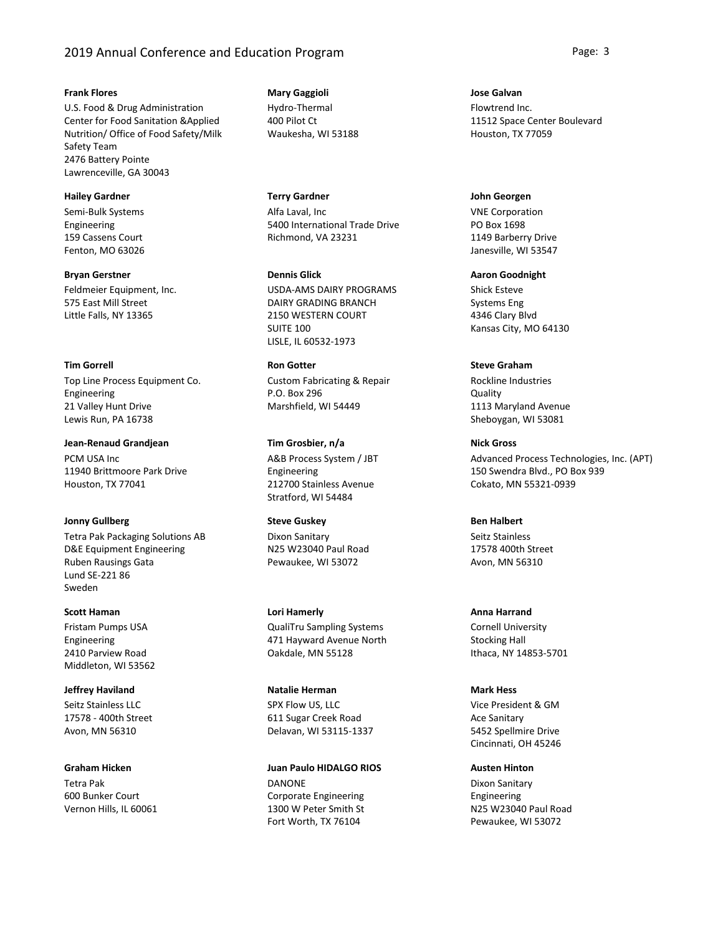# 2019 Annual Conference and Education Program **Page: 3** Page: 3

### **Frank Flores**

U.S. Food & Drug Administration Center for Food Sanitation &Applied Nutrition/ Office of Food Safety/Milk Safety Team 2476 Battery Pointe Lawrenceville, GA 30043

### **Hailey Gardner**

Semi-Bulk Systems Engineering 159 Cassens Court Fenton, MO 63026

Feldmeier Equipment, Inc. 575 East Mill Street Little Falls, NY 13365 **Bryan Gerstner**

# **Tim Gorrell**

Top Line Process Equipment Co. Engineering 21 Valley Hunt Drive Lewis Run, PA 16738

PCM USA Inc 11940 Brittmoore Park Drive Houston, TX 77041 **Jean-Renaud Grandjean**

# **Jonny Gullberg**

Tetra Pak Packaging Solutions AB D&E Equipment Engineering Ruben Rausings Gata Lund SE-221 86 Sweden

### **Scott Haman**

Fristam Pumps USA Engineering 2410 Parview Road Middleton, WI 53562

Seitz Stainless LLC 17578 - 400th Street **Jeffrey Haviland**

Avon, MN 56310

#### **Graham Hicken**

Tetra Pak 600 Bunker Court Vernon Hills, IL 60061

# Hydro-Thermal **Mary Gaggioli**

400 Pilot Ct Waukesha, WI 53188

Alfa Laval, Inc 5400 International Trade Drive Richmond, VA 23231 **Terry Gardner**

USDA-AMS DAIRY PROGRAMS DAIRY GRADING BRANCH 2150 WESTERN COURT SUITE 100 LISLE, IL 60532-1973 **Dennis Glick**

Custom Fabricating & Repair P.O. Box 296 Marshfield, WI 54449 **Ron Gotter**

A&B Process System / JBT Engineering 212700 Stainless Avenue Stratford, WI 54484 **Tim Grosbier, n/a**

# Dixon Sanitary **Steve Guskey**

N25 W23040 Paul Road Pewaukee, WI 53072

QualiTru Sampling Systems 471 Hayward Avenue North Oakdale, MN 55128 **Lori Hamerly**

SPX Flow US, LLC 611 Sugar Creek Road Delavan, WI 53115-1337 **Natalie Herman**

DANONE Corporate Engineering 1300 W Peter Smith St Fort Worth, TX 76104 **Juan Paulo HIDALGO RIOS** Flowtrend Inc. 11512 Space Center Boulevard Houston, TX 77059 **Jose Galvan**

VNE Corporation PO Box 1698 1149 Barberry Drive Janesville, WI 53547 **John Georgen**

Shick Esteve Systems Eng 4346 Clary Blvd Kansas City, MO 64130 **Aaron Goodnight**

# **Steve Graham**

Rockline Industries **Quality** 1113 Maryland Avenue Sheboygan, WI 53081

**Nick Gross**

Advanced Process Technologies, Inc. (APT) 150 Swendra Blvd., PO Box 939 Cokato, MN 55321-0939

## **Ben Halbert**

Seitz Stainless 17578 400th Street Avon, MN 56310

Cornell University Stocking Hall Ithaca, NY 14853-5701 **Anna Harrand**

# **Mark Hess**

Vice President & GM Ace Sanitary 5452 Spellmire Drive Cincinnati, OH 45246

**Austen Hinton**

Dixon Sanitary Engineering N25 W23040 Paul Road Pewaukee, WI 53072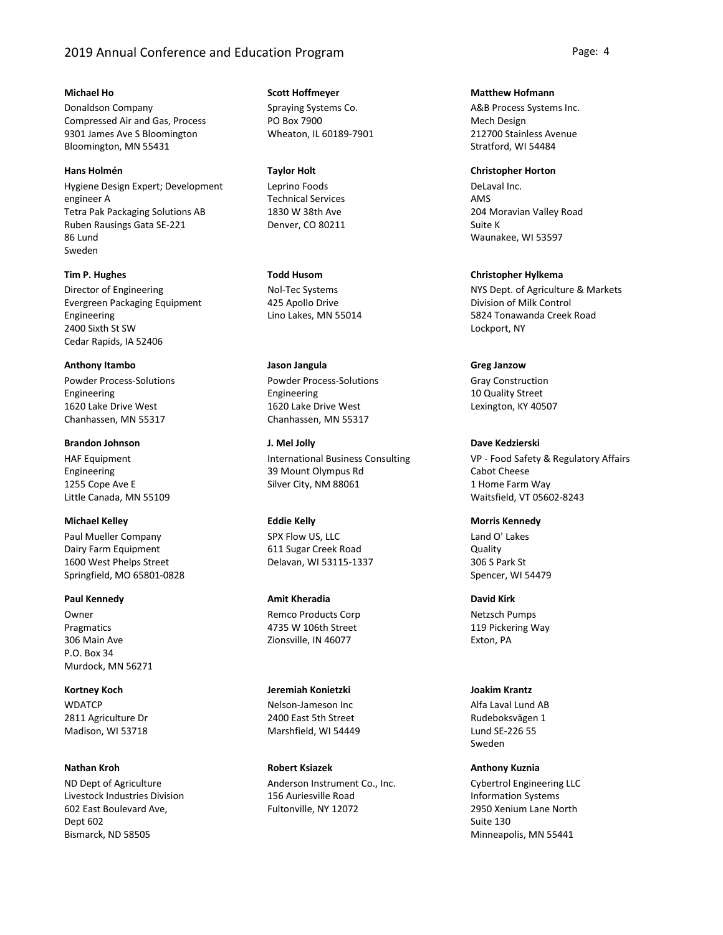# 2019 Annual Conference and Education Program **Page: 4** Page: 4

### **Michael Ho**

Donaldson Company Compressed Air and Gas, Process 9301 James Ave S Bloomington Bloomington, MN 55431

## **Hans Holmén**

Hygiene Design Expert; Development engineer A Tetra Pak Packaging Solutions AB Ruben Rausings Gata SE-221 86 Lund Sweden

# **Tim P. Hughes**

Director of Engineering Evergreen Packaging Equipment Engineering 2400 Sixth St SW Cedar Rapids, IA 52406

# **Anthony Itambo**

Powder Process-Solutions Engineering 1620 Lake Drive West Chanhassen, MN 55317

# **Brandon Johnson**

HAF Equipment Engineering 1255 Cope Ave E Little Canada, MN 55109

# **Michael Kelley**

Paul Mueller Company Dairy Farm Equipment 1600 West Phelps Street Springfield, MO 65801-0828

### **Paul Kennedy**

Owner Pragmatics 306 Main Ave P.O. Box 34 Murdock, MN 56271

**WDATCP** 2811 Agriculture Dr Madison, WI 53718 **Kortney Koch**

### **Nathan Kroh**

ND Dept of Agriculture Livestock Industries Division 602 East Boulevard Ave, Dept 602 Bismarck, ND 58505

# **Scott Hoffmeyer**

Spraying Systems Co. PO Box 7900 Wheaton, IL 60189-7901

## **Taylor Holt**

Leprino Foods Technical Services 1830 W 38th Ave Denver, CO 80211

## **Todd Husom**

Nol-Tec Systems 425 Apollo Drive Lino Lakes, MN 55014

Powder Process-Solutions Engineering 1620 Lake Drive West Chanhassen, MN 55317 **Jason Jangula**

International Business Consulting 39 Mount Olympus Rd Silver City, NM 88061 **J. Mel Jolly**

# **Eddie Kelly**

SPX Flow US, LLC 611 Sugar Creek Road Delavan, WI 53115-1337

#### **Amit Kheradia**

Remco Products Corp 4735 W 106th Street Zionsville, IN 46077

## **Jeremiah Konietzki**

Nelson-Jameson Inc 2400 East 5th Street Marshfield, WI 54449

# **Robert Ksiazek**

Anderson Instrument Co., Inc. 156 Auriesville Road Fultonville, NY 12072

### **Matthew Hofmann**

A&B Process Systems Inc. Mech Design 212700 Stainless Avenue Stratford, WI 54484

#### **Christopher Horton**

DeLaval Inc. AMS 204 Moravian Valley Road Suite K Waunakee, WI 53597

## **Christopher Hylkema**

NYS Dept. of Agriculture & Markets Division of Milk Control 5824 Tonawanda Creek Road Lockport, NY

### **Greg Janzow**

Gray Construction 10 Quality Street Lexington, KY 40507

### **Dave Kedzierski**

VP - Food Safety & Regulatory Affairs Cabot Cheese 1 Home Farm Way Waitsfield, VT 05602-8243

## **Morris Kennedy**

Land O' Lakes **Quality** 306 S Park St Spencer, WI 54479

### **David Kirk**

Netzsch Pumps 119 Pickering Way Exton, PA

# **Joakim Krantz**

Alfa Laval Lund AB Rudeboksvägen 1 Lund SE-226 55 Sweden

### **Anthony Kuznia**

Cybertrol Engineering LLC Information Systems 2950 Xenium Lane North Suite 130 Minneapolis, MN 55441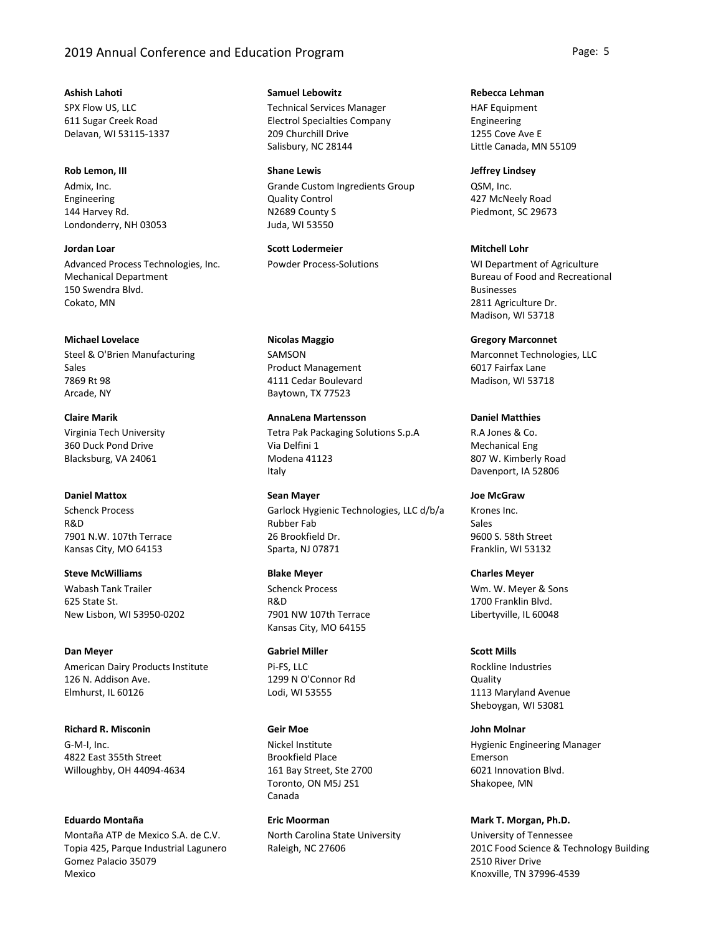# 2019 Annual Conference and Education Program **Page: 5** Page: 5

SPX Flow US, LLC 611 Sugar Creek Road Delavan, WI 53115-1337 **Ashish Lahoti**

Admix, Inc. Engineering 144 Harvey Rd. Londonderry, NH 03053 **Rob Lemon, III**

Advanced Process Technologies, Inc. Mechanical Department 150 Swendra Blvd. Cokato, MN **Jordan Loar**

Steel & O'Brien Manufacturing Sales 7869 Rt 98 Arcade, NY **Michael Lovelace**

Virginia Tech University 360 Duck Pond Drive Blacksburg, VA 24061 **Claire Marik**

## **Daniel Mattox**

Schenck Process R&D 7901 N.W. 107th Terrace Kansas City, MO 64153

Wabash Tank Trailer 625 State St. New Lisbon, WI 53950-0202 **Steve McWilliams**

#### **Dan Meyer**

American Dairy Products Institute 126 N. Addison Ave. Elmhurst, IL 60126

**Richard R. Misconin**

G-M-I, Inc. 4822 East 355th Street Willoughby, OH 44094-4634

**Eduardo Montaña**

Montaña ATP de Mexico S.A. de C.V. Topia 425, Parque Industrial Lagunero Gomez Palacio 35079 Mexico

**Samuel Lebowitz**

Technical Services Manager Electrol Specialties Company 209 Churchill Drive Salisbury, NC 28144

Grande Custom Ingredients Group Quality Control N2689 County S Juda, WI 53550 **Shane Lewis**

Powder Process-Solutions **Scott Lodermeier**

SAMSON Product Management 4111 Cedar Boulevard Baytown, TX 77523 **Nicolas Maggio**

Tetra Pak Packaging Solutions S.p.A Via Delfini 1 Modena 41123 Italy **AnnaLena Martensson**

Garlock Hygienic Technologies, LLC d/b/a Rubber Fab 26 Brookfield Dr. Sparta, NJ 07871 **Sean Mayer**

Schenck Process R&D **Blake Meyer**

7901 NW 107th Terrace Kansas City, MO 64155

**Gabriel Miller**

Pi-FS, LLC 1299 N O'Connor Rd Lodi, WI 53555

### **Geir Moe**

Nickel Institute Brookfield Place 161 Bay Street, Ste 2700 Toronto, ON M5J 2S1 Canada

North Carolina State University Raleigh, NC 27606 **Eric Moorman**

**Rebecca Lehman**

HAF Equipment Engineering 1255 Cove Ave E Little Canada, MN 55109

QSM, Inc. 427 McNeely Road Piedmont, SC 29673 **Jeffrey Lindsey**

**Mitchell Lohr**

WI Department of Agriculture Bureau of Food and Recreational Businesses 2811 Agriculture Dr. Madison, WI 53718

Marconnet Technologies, LLC 6017 Fairfax Lane Madison, WI 53718 **Gregory Marconnet**

**Daniel Matthies**

R.A Jones & Co. Mechanical Eng 807 W. Kimberly Road Davenport, IA 52806

**Joe McGraw**

Krones Inc. Sales 9600 S. 58th Street Franklin, WI 53132

Wm. W. Meyer & Sons 1700 Franklin Blvd. Libertyville, IL 60048 **Charles Meyer**

Rockline Industries **Scott Mills**

Quality 1113 Maryland Avenue Sheboygan, WI 53081

**John Molnar**

Hygienic Engineering Manager Emerson 6021 Innovation Blvd. Shakopee, MN

University of Tennessee 201C Food Science & Technology Building 2510 River Drive **Mark T. Morgan, Ph.D.**

Knoxville, TN 37996-4539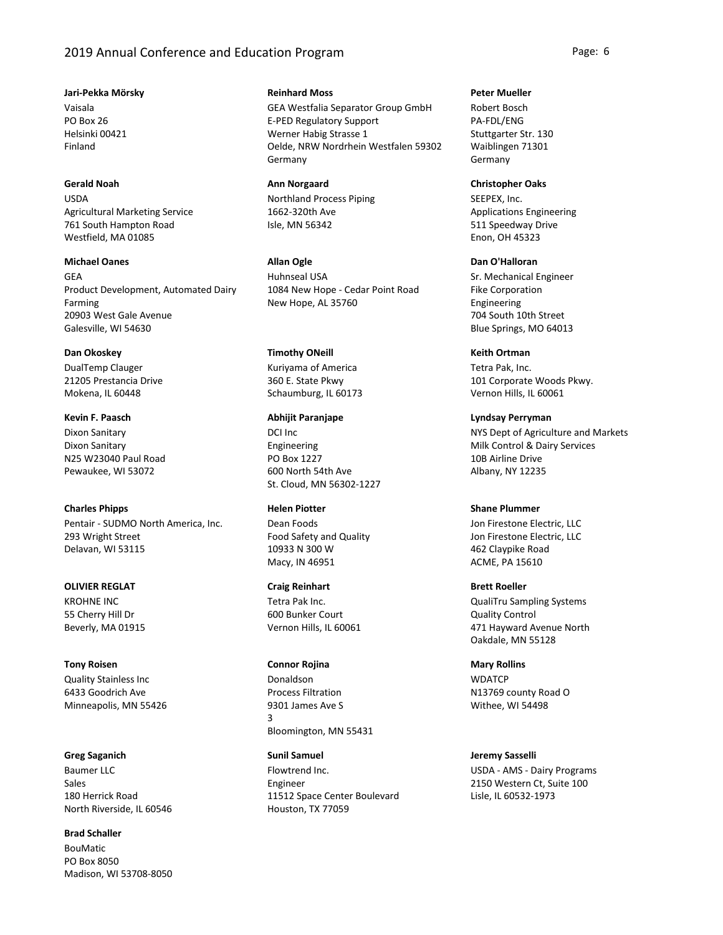# 2019 Annual Conference and Education Program **Page: 6** Page: 6

#### **Jari-Pekka Mörsky**

Vaisala PO Box 26 Helsinki 00421 Finland

# **Gerald Noah**

USDA Agricultural Marketing Service 761 South Hampton Road Westfield, MA 01085

# **Michael Oanes**

GEA Product Development, Automated Dairy Farming 20903 West Gale Avenue Galesville, WI 54630

### **Dan Okoskey**

DualTemp Clauger 21205 Prestancia Drive Mokena, IL 60448

# Dixon Sanitary Dixon Sanitary N25 W23040 Paul Road Pewaukee, WI 53072 **Kevin F. Paasch**

# **Charles Phipps**

Pentair - SUDMO North America, Inc. 293 Wright Street Delavan, WI 53115

# **OLIVIER REGLAT**

KROHNE INC 55 Cherry Hill Dr Beverly, MA 01915

# **Tony Roisen**

Quality Stainless Inc 6433 Goodrich Ave Minneapolis, MN 55426

### **Greg Saganich**

Baumer LLC Sales 180 Herrick Road North Riverside, IL 60546

# **Brad Schaller**

BouMatic PO Box 8050 Madison, WI 53708-8050

# **Reinhard Moss**

GEA Westfalia Separator Group GmbH E-PED Regulatory Support Werner Habig Strasse 1 Oelde, NRW Nordrhein Westfalen 59302 Germany

### **Ann Norgaard**

Northland Process Piping 1662-320th Ave Isle, MN 56342

# **Allan Ogle**

Huhnseal USA 1084 New Hope - Cedar Point Road New Hope, AL 35760

# **Timothy ONeill**

Kuriyama of America 360 E. State Pkwy Schaumburg, IL 60173

# **Abhijit Paranjape**

DCI Inc Engineering PO Box 1227 600 North 54th Ave St. Cloud, MN 56302-1227

## **Helen Piotter**

Dean Foods Food Safety and Quality 10933 N 300 W Macy, IN 46951

# **Craig Reinhart**

Tetra Pak Inc. 600 Bunker Court Vernon Hills, IL 60061

#### **Connor Rojina**

Donaldson Process Filtration 9301 James Ave S 3 Bloomington, MN 55431

# Flowtrend Inc. **Sunil Samuel**

Engineer 11512 Space Center Boulevard Houston, TX 77059

### **Peter Mueller**

Robert Bosch PA-FDL/ENG Stuttgarter Str. 130 Waiblingen 71301 Germany

### **Christopher Oaks**

SEEPEX, Inc. Applications Engineering 511 Speedway Drive Enon, OH 45323

# **Dan O'Halloran**

Sr. Mechanical Engineer Fike Corporation Engineering 704 South 10th Street Blue Springs, MO 64013

# **Keith Ortman**

Tetra Pak, Inc. 101 Corporate Woods Pkwy. Vernon Hills, IL 60061

# **Lyndsay Perryman**

NYS Dept of Agriculture and Markets Milk Control & Dairy Services 10B Airline Drive Albany, NY 12235

# **Shane Plummer**

Jon Firestone Electric, LLC Jon Firestone Electric, LLC 462 Claypike Road ACME, PA 15610

# QualiTru Sampling Systems Quality Control 471 Hayward Avenue North Oakdale, MN 55128 **Brett Roeller**

**WDATCP** N13769 county Road O Withee, WI 54498 **Mary Rollins**

# **Jeremy Sasselli**

USDA - AMS - Dairy Programs 2150 Western Ct, Suite 100 Lisle, IL 60532-1973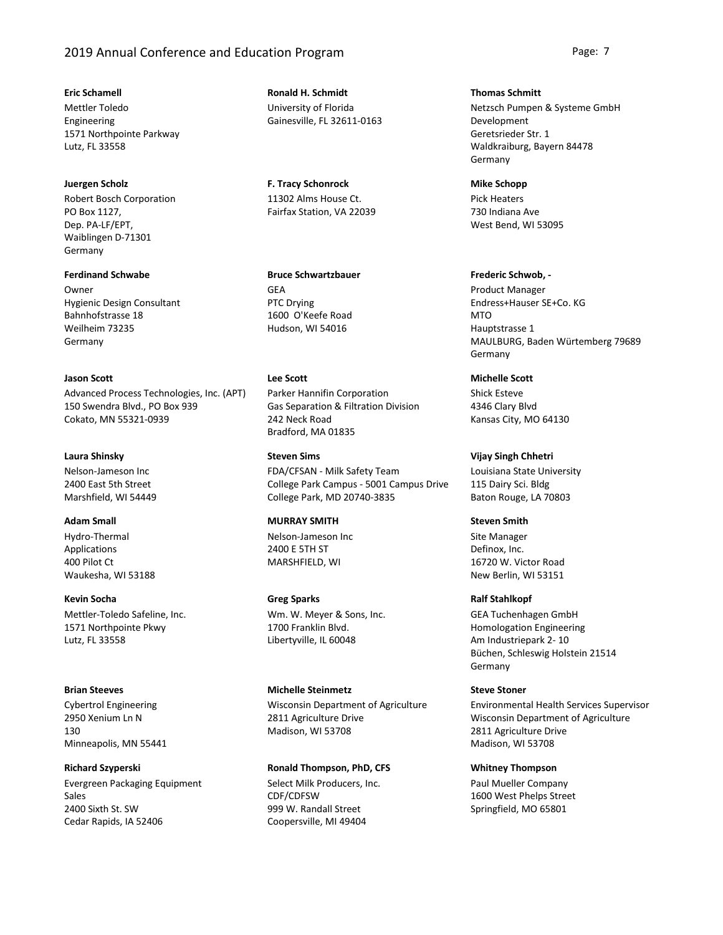# 2019 Annual Conference and Education Program **Page: 7** Page: 7

### **Eric Schamell**

Mettler Toledo Engineering 1571 Northpointe Parkway Lutz, FL 33558

### **Juergen Scholz**

Robert Bosch Corporation PO Box 1127, Dep. PA-LF/EPT, Waiblingen D-71301 Germany

### **Ferdinand Schwabe**

**Owner** Hygienic Design Consultant Bahnhofstrasse 18 Weilheim 73235 Germany

# **Jason Scott**

Advanced Process Technologies, Inc. (APT) 150 Swendra Blvd., PO Box 939 Cokato, MN 55321-0939

### **Laura Shinsky**

Nelson-Jameson Inc 2400 East 5th Street Marshfield, WI 54449

# **Adam Small**

Hydro-Thermal Applications 400 Pilot Ct Waukesha, WI 53188

### **Kevin Socha**

Mettler-Toledo Safeline, Inc. 1571 Northpointe Pkwy Lutz, FL 33558

#### **Brian Steeves**

Cybertrol Engineering 2950 Xenium Ln N 130 Minneapolis, MN 55441

### **Richard Szyperski**

Evergreen Packaging Equipment Sales 2400 Sixth St. SW Cedar Rapids, IA 52406

University of Florida Gainesville, FL 32611-0163 **Ronald H. Schmidt**

11302 Alms House Ct. Fairfax Station, VA 22039 **F. Tracy Schonrock**

## **Bruce Schwartzbauer**

GEA PTC Drying 1600 O'Keefe Road Hudson, WI 54016

# **Lee Scott**

Parker Hannifin Corporation Gas Separation & Filtration Division 242 Neck Road Bradford, MA 01835

### **Steven Sims**

FDA/CFSAN - Milk Safety Team College Park Campus - 5001 Campus Drive College Park, MD 20740-3835

### **MURRAY SMITH**

Nelson-Jameson Inc 2400 E 5TH ST MARSHFIELD, WI

### **Greg Sparks**

Wm. W. Meyer & Sons, Inc. 1700 Franklin Blvd. Libertyville, IL 60048

#### **Michelle Steinmetz**

Wisconsin Department of Agriculture 2811 Agriculture Drive Madison, WI 53708

### **Ronald Thompson, PhD, CFS**

Select Milk Producers, Inc. CDF/CDFSW 999 W. Randall Street Coopersville, MI 49404

### **Thomas Schmitt**

Netzsch Pumpen & Systeme GmbH Development Geretsrieder Str. 1 Waldkraiburg, Bayern 84478 Germany

### **Mike Schopp**

Pick Heaters 730 Indiana Ave West Bend, WI 53095

# **Frederic Schwob, -**

Product Manager Endress+Hauser SE+Co. KG MTO Hauptstrasse 1 MAULBURG, Baden Würtemberg 79689 Germany

# **Michelle Scott**

Shick Esteve 4346 Clary Blvd Kansas City, MO 64130

### **Vijay Singh Chhetri**

Louisiana State University 115 Dairy Sci. Bldg Baton Rouge, LA 70803

## **Steven Smith**

Site Manager Definox, Inc. 16720 W. Victor Road New Berlin, WI 53151

#### **Ralf Stahlkopf**

GEA Tuchenhagen GmbH Homologation Engineering Am Industriepark 2- 10 Büchen, Schleswig Holstein 21514 Germany

## **Steve Stoner**

Environmental Health Services Supervisor Wisconsin Department of Agriculture 2811 Agriculture Drive Madison, WI 53708

#### **Whitney Thompson**

Paul Mueller Company 1600 West Phelps Street Springfield, MO 65801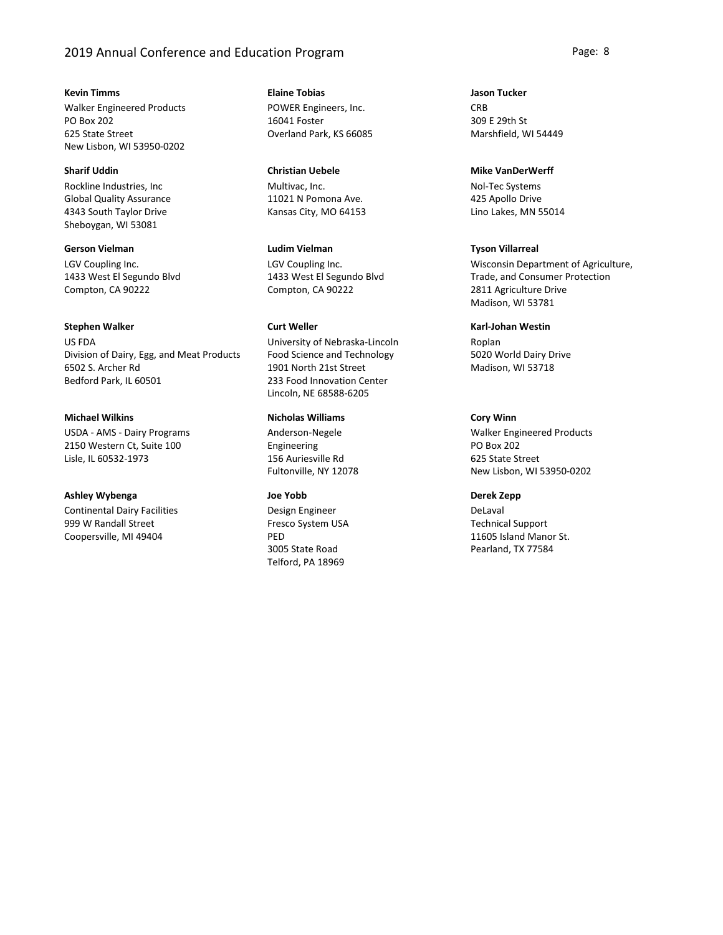# 2019 Annual Conference and Education Program **Page: 8** Page: 8

**Kevin Timms**

Walker Engineered Products PO Box 202 625 State Street New Lisbon, WI 53950-0202

Rockline Industries, Inc Global Quality Assurance 4343 South Taylor Drive Sheboygan, WI 53081 **Sharif Uddin**

LGV Coupling Inc. 1433 West El Segundo Blvd Compton, CA 90222 **Gerson Vielman**

### **Stephen Walker**

US FDA Division of Dairy, Egg, and Meat Products 6502 S. Archer Rd Bedford Park, IL 60501

**Michael Wilkins**

USDA - AMS - Dairy Programs 2150 Western Ct, Suite 100 Lisle, IL 60532-1973

# **Ashley Wybenga**

Continental Dairy Facilities 999 W Randall Street Coopersville, MI 49404

POWER Engineers, Inc. 16041 Foster Overland Park, KS 66085 **Elaine Tobias**

Multivac, Inc. 11021 N Pomona Ave. Kansas City, MO 64153 **Christian Uebele**

LGV Coupling Inc. 1433 West El Segundo Blvd Compton, CA 90222 **Ludim Vielman**

# **Curt Weller**

University of Nebraska-Lincoln Food Science and Technology 1901 North 21st Street 233 Food Innovation Center Lincoln, NE 68588-6205

### **Nicholas Williams**

Anderson-Negele Engineering 156 Auriesville Rd Fultonville, NY 12078

## **Joe Yobb**

Design Engineer Fresco System USA PED 3005 State Road Telford, PA 18969

**CRB** 309 E 29th St Marshfield, WI 54449 **Jason Tucker**

#### **Mike VanDerWerff**

Nol-Tec Systems 425 Apollo Drive Lino Lakes, MN 55014

### **Tyson Villarreal**

Wisconsin Department of Agriculture, Trade, and Consumer Protection 2811 Agriculture Drive Madison, WI 53781

#### **Karl-Johan Westin**

Roplan 5020 World Dairy Drive Madison, WI 53718

# **Cory Winn**

Walker Engineered Products PO Box 202 625 State Street New Lisbon, WI 53950-0202

**Derek Zepp**

DeLaval Technical Support 11605 Island Manor St. Pearland, TX 77584